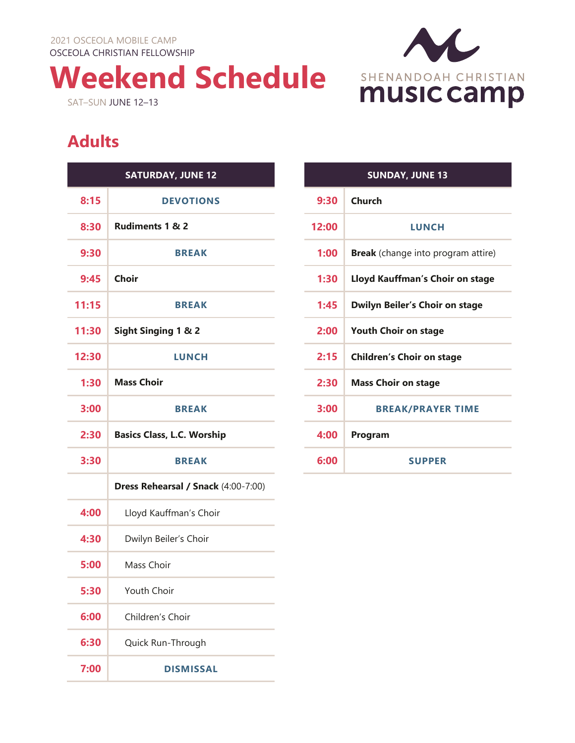2021 OSCEOLA MOBILE CAMP OSCEOLA CHRISTIAN FELLOWSHIP

**Weekend Schedule** SAT–SUN JUNE 12–13



## **Adults**

|       | <b>SATURDAY, JUNE 12</b>            |
|-------|-------------------------------------|
| 8:15  | <b>DEVOTIONS</b>                    |
| 8:30  | <b>Rudiments 1 &amp; 2</b>          |
| 9:30  | <b>BREAK</b>                        |
| 9:45  | Choir                               |
| 11:15 | <b>BREAK</b>                        |
| 11:30 | Sight Singing 1 & 2                 |
| 12:30 | <b>LUNCH</b>                        |
| 1:30  | <b>Mass Choir</b>                   |
| 3:00  | <b>BREAK</b>                        |
| 2:30  | <b>Basics Class, L.C. Worship</b>   |
| 3:30  | <b>BREAK</b>                        |
|       | Dress Rehearsal / Snack (4:00-7:00) |
| 4:00  | Lloyd Kauffman's Choir              |
| 4:30  | Dwilyn Beiler's Choir               |
| 5:00  | Mass Choir                          |
| 5:30  | <b>Youth Choir</b>                  |
| 6:00  | Children's Choir                    |
| 6:30  | Quick Run-Through                   |
| 7:00  | <b>DISMISSAL</b>                    |

| <b>SUNDAY, JUNE 13</b> |                                           |  |
|------------------------|-------------------------------------------|--|
| 9:30                   | Church                                    |  |
| 12:00                  | <b>LUNCH</b>                              |  |
| 1:00                   | <b>Break</b> (change into program attire) |  |
| 1:30                   | Lloyd Kauffman's Choir on stage           |  |
| 1:45                   | <b>Dwilyn Beiler's Choir on stage</b>     |  |
| 2:00                   | <b>Youth Choir on stage</b>               |  |
| 2:15                   | <b>Children's Choir on stage</b>          |  |
| 2:30                   | <b>Mass Choir on stage</b>                |  |
| 3:00                   | <b>BREAK/PRAYER TIME</b>                  |  |
| 4:00                   | Program                                   |  |
| 6:00                   | <b>SUPPER</b>                             |  |